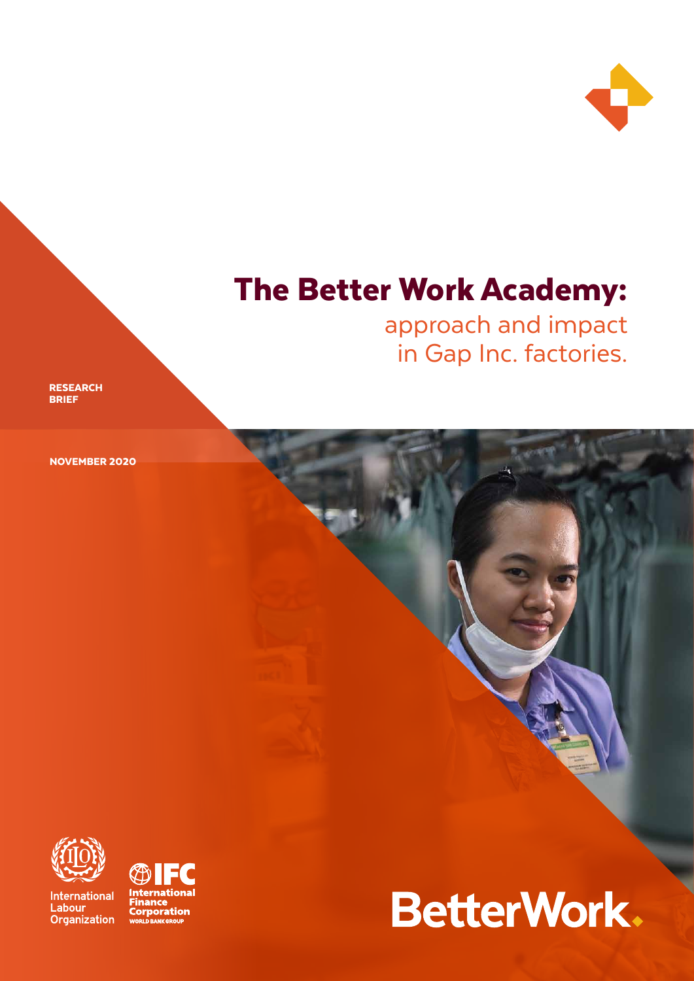

# The Better Work Academy:

approach and impact in Gap Inc. factories.

**RESEARCH** BRIEF

NOVEMBER 2020



**International** Labour Organization



# BetterWork.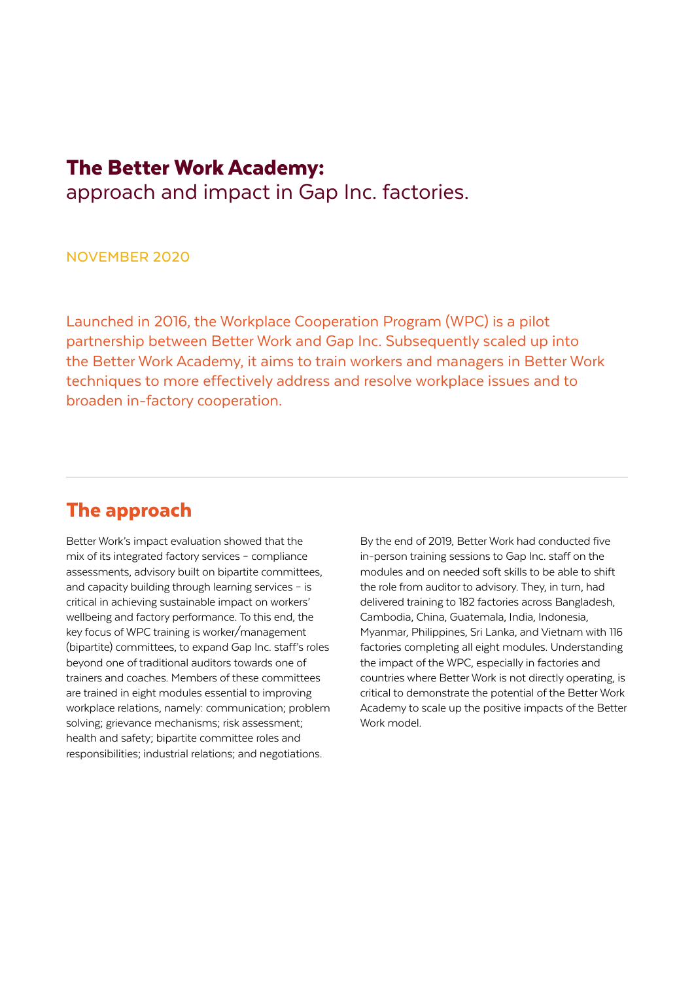# The Better Work Academy:

approach and impact in Gap Inc. factories.

NOVEMBER 2020

Launched in 2016, the Workplace Cooperation Program (WPC) is a pilot partnership between Better Work and Gap Inc. Subsequently scaled up into the Better Work Academy, it aims to train workers and managers in Better Work techniques to more effectively address and resolve workplace issues and to broaden in-factory cooperation.

# The approach

Better Work's impact evaluation showed that the mix of its integrated factory services – compliance assessments, advisory built on bipartite committees, and capacity building through learning services – is critical in achieving sustainable impact on workers' wellbeing and factory performance. To this end, the key focus of WPC training is worker/management (bipartite) committees, to expand Gap Inc. staff's roles beyond one of traditional auditors towards one of trainers and coaches. Members of these committees are trained in eight modules essential to improving workplace relations, namely: communication; problem solving; grievance mechanisms; risk assessment; health and safety; bipartite committee roles and responsibilities; industrial relations; and negotiations.

By the end of 2019, Better Work had conducted five in-person training sessions to Gap Inc. staff on the modules and on needed soft skills to be able to shift the role from auditor to advisory. They, in turn, had delivered training to 182 factories across Bangladesh, Cambodia, China, Guatemala, India, Indonesia, Myanmar, Philippines, Sri Lanka, and Vietnam with 116 factories completing all eight modules. Understanding the impact of the WPC, especially in factories and countries where Better Work is not directly operating, is critical to demonstrate the potential of the Better Work Academy to scale up the positive impacts of the Better Work model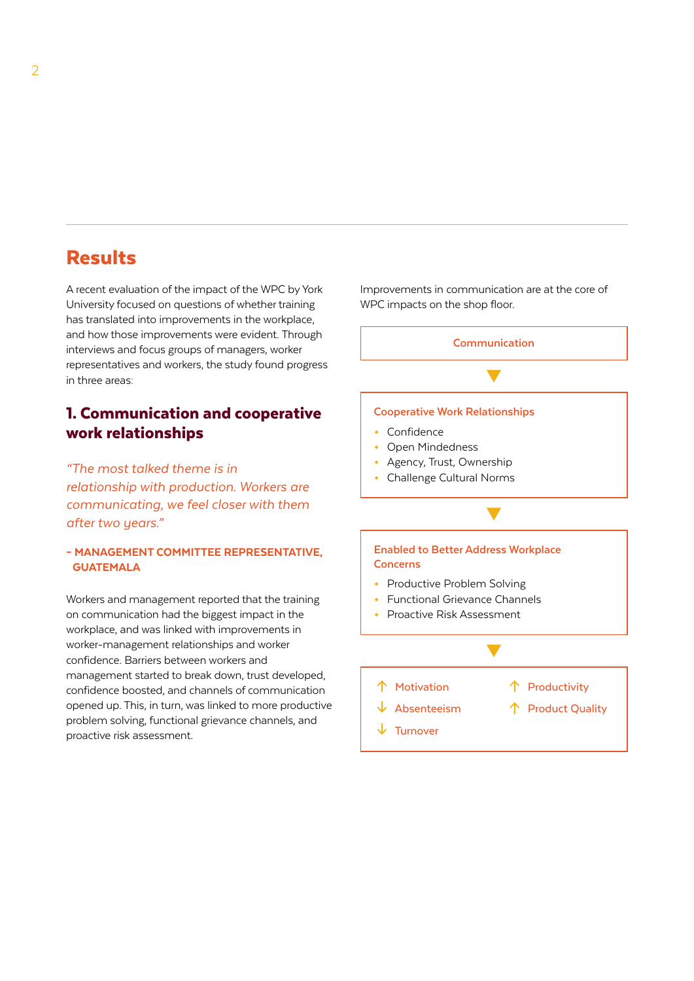# Results

A recent evaluation of the impact of the WPC by York University focused on questions of whether training has translated into improvements in the workplace, and how those improvements were evident. Through interviews and focus groups of managers, worker representatives and workers, the study found progress in three areas:

### 1. Communication and cooperative work relationships

*"The most talked theme is in relationship with production. Workers are communicating, we feel closer with them after two years."* 

#### – MANAGEMENT COMMITTEE REPRESENTATIVE, **GUATEMALA**

Workers and management reported that the training on communication had the biggest impact in the workplace, and was linked with improvements in worker-management relationships and worker confidence. Barriers between workers and management started to break down, trust developed, confidence boosted, and channels of communication opened up. This, in turn, was linked to more productive problem solving, functional grievance channels, and proactive risk assessment.

Improvements in communication are at the core of WPC impacts on the shop floor.